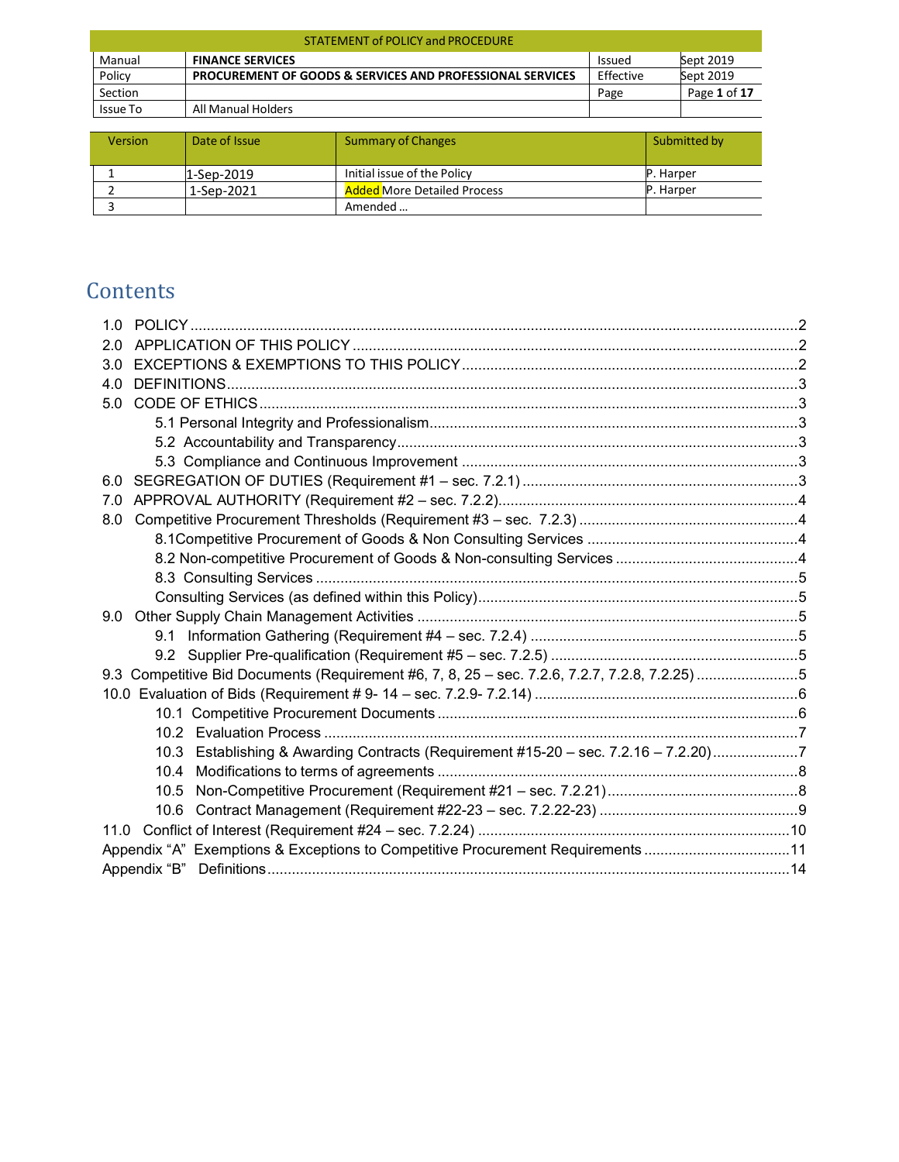| <b>STATEMENT of POLICY and PROCEDURE</b> |                                                                      |               |              |  |
|------------------------------------------|----------------------------------------------------------------------|---------------|--------------|--|
| Manual                                   | <b>FINANCE SERVICES</b>                                              | <b>Issued</b> | Sept 2019    |  |
| Policy                                   | <b>PROCUREMENT OF GOODS &amp; SERVICES AND PROFESSIONAL SERVICES</b> | Effective     | Sept 2019    |  |
| Section                                  |                                                                      | Page          | Page 1 of 17 |  |
| Issue To                                 | All Manual Holders                                                   |               |              |  |

| <b>Version</b> | Date of Issue | <b>Summary of Changes</b>          | Submitted by     |
|----------------|---------------|------------------------------------|------------------|
|                | 1-Sep-2019    | Initial issue of the Policy        | <b>P.</b> Harper |
|                | 1-Sep-2021    | <b>Added More Detailed Process</b> | P. Harper        |
|                |               | Amended                            |                  |

# **Contents**

<span id="page-0-0"></span>

| 2.0                                                                                           |  |
|-----------------------------------------------------------------------------------------------|--|
| 3.0                                                                                           |  |
| 4.0                                                                                           |  |
| 5.0                                                                                           |  |
|                                                                                               |  |
|                                                                                               |  |
|                                                                                               |  |
| 6.0                                                                                           |  |
| 7.0                                                                                           |  |
| 8.0                                                                                           |  |
|                                                                                               |  |
|                                                                                               |  |
|                                                                                               |  |
|                                                                                               |  |
| 9.0                                                                                           |  |
|                                                                                               |  |
|                                                                                               |  |
| 9.3 Competitive Bid Documents (Requirement #6, 7, 8, 25 - sec. 7.2.6, 7.2.7, 7.2.8, 7.2.25) 5 |  |
|                                                                                               |  |
|                                                                                               |  |
|                                                                                               |  |
| 10.3 Establishing & Awarding Contracts (Requirement #15-20 - sec. 7.2.16 - 7.2.20)7           |  |
| 10.4                                                                                          |  |
| 10.5                                                                                          |  |
| 10.6                                                                                          |  |
| 11.0                                                                                          |  |
| Appendix "A" Exemptions & Exceptions to Competitive Procurement Requirements11                |  |
|                                                                                               |  |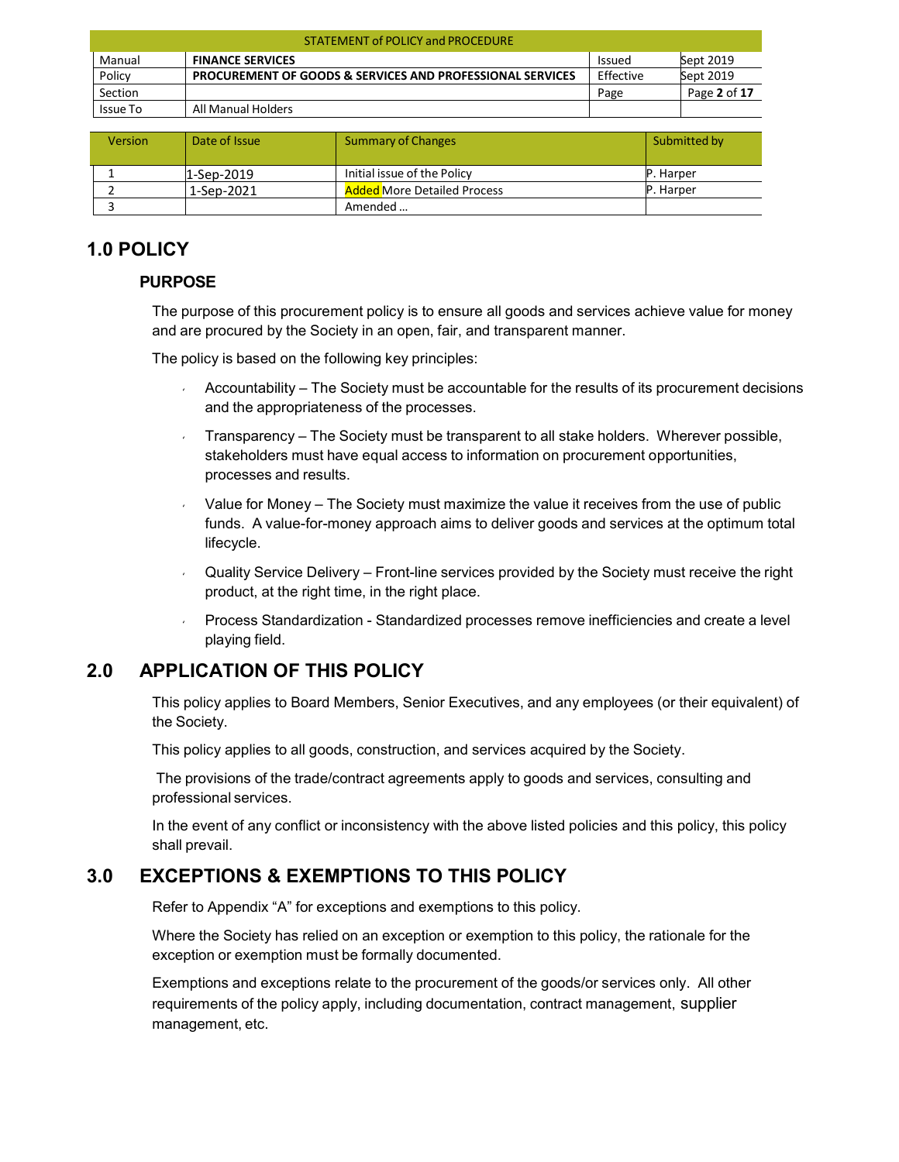| <b>STATEMENT of POLICY and PROCEDURE</b> |                                                                      |               |              |  |
|------------------------------------------|----------------------------------------------------------------------|---------------|--------------|--|
| Manual                                   | <b>FINANCE SERVICES</b>                                              | <b>Issued</b> | Sept 2019    |  |
| Policy                                   | <b>PROCUREMENT OF GOODS &amp; SERVICES AND PROFESSIONAL SERVICES</b> | Effective     | Sept 2019    |  |
| Section                                  |                                                                      | Page          | Page 2 of 17 |  |
| Issue To                                 | All Manual Holders                                                   |               |              |  |

| <b>Version</b> | Date of Issue | Summary of Changes                 | Submitted by     |
|----------------|---------------|------------------------------------|------------------|
|                | $1-Sep-2019$  | Initial issue of the Policy        | <b>P.</b> Harper |
|                | 1-Sep-2021    | <b>Added More Detailed Process</b> | <b>P.</b> Harper |
|                |               | Amended                            |                  |

## **1.0 POLICY**

### **PURPOSE**

The purpose of this procurement policy is to ensure all goods and services achieve value for money and are procured by the Society in an open, fair, and transparent manner.

The policy is based on the following key principles:

- Accountability The Society must be accountable for the results of its procurement decisions and the appropriateness of the processes.
- Transparency The Society must be transparent to all stake holders. Wherever possible, stakeholders must have equal access to information on procurement opportunities, processes and results.
- $V =$  Value for Money The Society must maximize the value it receives from the use of public funds. A value-for-money approach aims to deliver goods and services at the optimum total lifecycle.
- Quality Service Delivery Front-line services provided by the Society must receive the right product, at the right time, in the right place.
- Process Standardization Standardized processes remove inefficiencies and create a level playing field.

## <span id="page-1-0"></span>**2.0 APPLICATION OF THIS POLICY**

This policy applies to Board Members, Senior Executives, and any employees (or their equivalent) of the Society.

This policy applies to all goods, construction, and services acquired by the Society.

The provisions of the trade/contract agreements apply to goods and services, consulting and professional services.

In the event of any conflict or inconsistency with the above listed policies and this policy, this policy shall prevail.

## <span id="page-1-1"></span>**3.0 EXCEPTIONS & EXEMPTIONS TO THIS POLICY**

Refer to Appendix "A" for exceptions and exemptions to this policy.

Where the Society has relied on an exception or exemption to this policy, the rationale for the exception or exemption must be formally documented.

Exemptions and exceptions relate to the procurement of the goods/or services only. All other requirements of the policy apply, including documentation, contract management, supplier management, etc.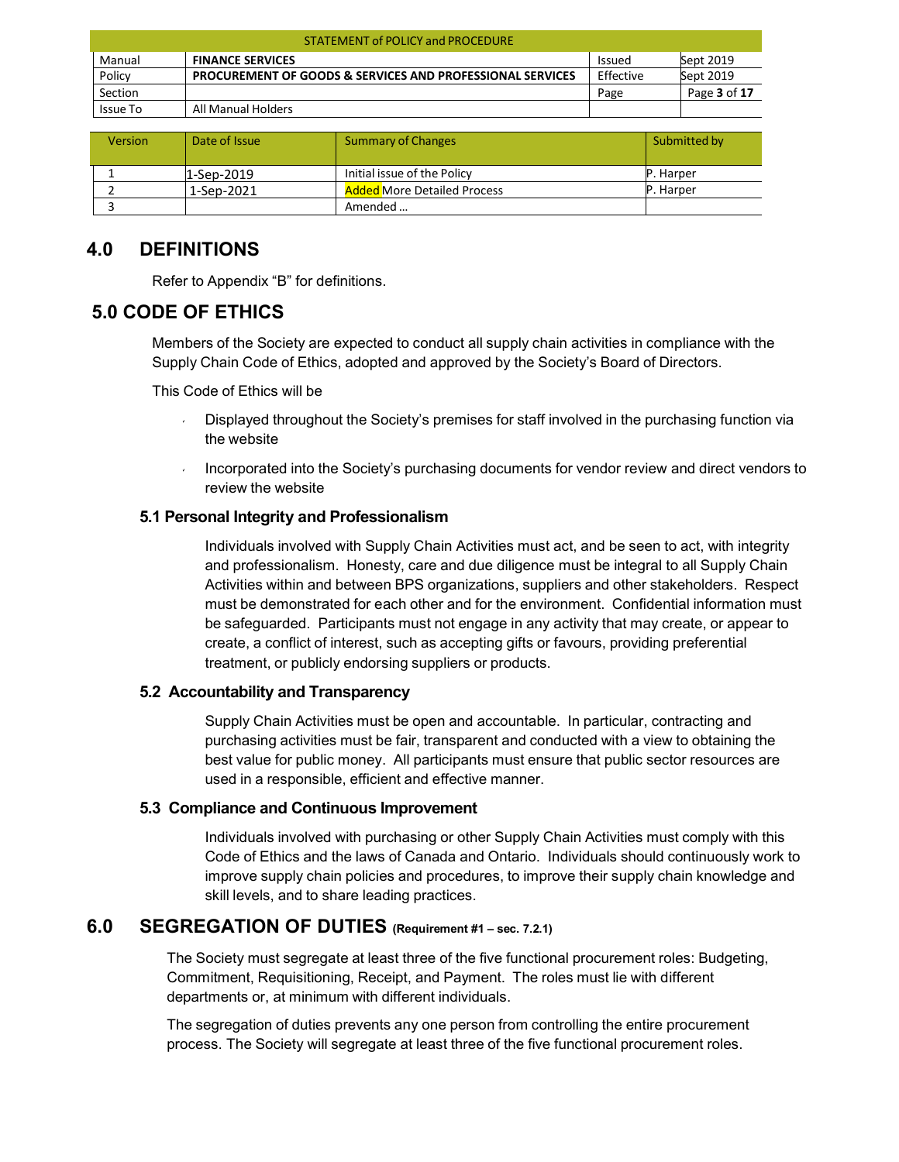| <b>STATEMENT of POLICY and PROCEDURE</b> |                                                                      |               |              |  |
|------------------------------------------|----------------------------------------------------------------------|---------------|--------------|--|
| Manual                                   | <b>FINANCE SERVICES</b>                                              | <b>Issued</b> | Sept 2019    |  |
| Policy                                   | <b>PROCUREMENT OF GOODS &amp; SERVICES AND PROFESSIONAL SERVICES</b> | Effective     | Sept 2019    |  |
| Section                                  |                                                                      | Page          | Page 3 of 17 |  |
| Issue To                                 | All Manual Holders                                                   |               |              |  |

| <b>Version</b> | Date of Issue | Summary of Changes                 | Submitted by     |
|----------------|---------------|------------------------------------|------------------|
|                | 1-Sep-2019    | Initial issue of the Policy        | <b>P.</b> Harper |
|                | 1-Sep-2021    | <b>Added More Detailed Process</b> | <b>P.</b> Harper |
|                |               | Amended                            |                  |

### <span id="page-2-0"></span>**4.0 DEFINITIONS**

Refer to Appendix "B" for definitions.

### <span id="page-2-1"></span>**5.0 CODE OF ETHICS**

Members of the Society are expected to conduct all supply chain activities in compliance with the Supply Chain Code of Ethics, adopted and approved by the Society's Board of Directors.

This Code of Ethics will be

- **Displayed throughout the Society's premises for staff involved in the purchasing function via** the website
- Incorporated into the Society's purchasing documents for vendor review and direct vendors to review the website

### <span id="page-2-2"></span>**5.1 Personal Integrity and Professionalism**

Individuals involved with Supply Chain Activities must act, and be seen to act, with integrity and professionalism. Honesty, care and due diligence must be integral to all Supply Chain Activities within and between BPS organizations, suppliers and other stakeholders. Respect must be demonstrated for each other and for the environment. Confidential information must be safeguarded. Participants must not engage in any activity that may create, or appear to create, a conflict of interest, such as accepting gifts or favours, providing preferential treatment, or publicly endorsing suppliers or products.

### <span id="page-2-3"></span>**5.2 Accountability and Transparency**

Supply Chain Activities must be open and accountable. In particular, contracting and purchasing activities must be fair, transparent and conducted with a view to obtaining the best value for public money. All participants must ensure that public sector resources are used in a responsible, efficient and effective manner.

### <span id="page-2-4"></span>**5.3 Compliance and Continuous Improvement**

Individuals involved with purchasing or other Supply Chain Activities must comply with this Code of Ethics and the laws of Canada and Ontario. Individuals should continuously work to improve supply chain policies and procedures, to improve their supply chain knowledge and skill levels, and to share leading practices.

### <span id="page-2-5"></span>**6.0 SEGREGATION OF DUTIES (Requirement #1 – sec. 7.2.1)**

The Society must segregate at least three of the five functional procurement roles: Budgeting, Commitment, Requisitioning, Receipt, and Payment. The roles must lie with different departments or, at minimum with different individuals.

The segregation of duties prevents any one person from controlling the entire procurement process. The Society will segregate at least three of the five functional procurement roles.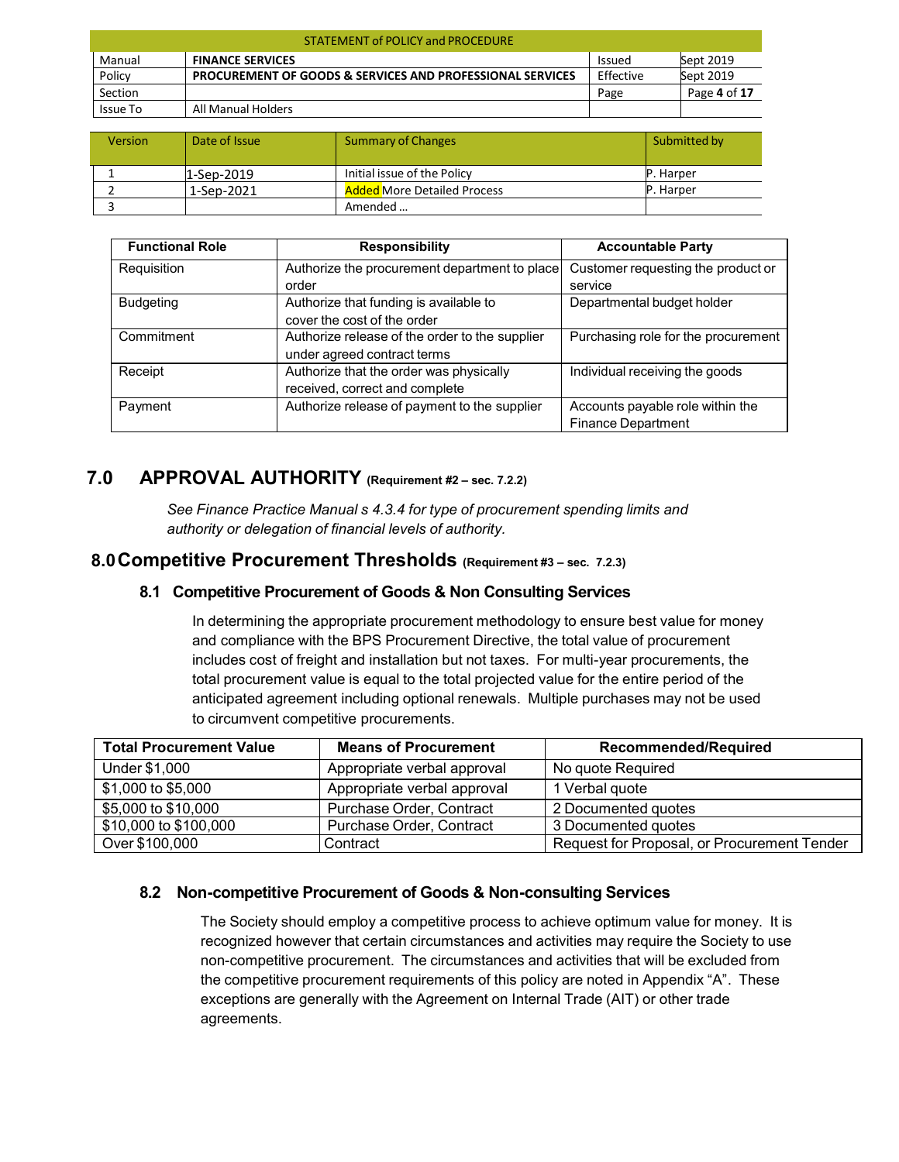| STATEMENT of POLICY and PROCEDURE |                                                                      |               |              |  |
|-----------------------------------|----------------------------------------------------------------------|---------------|--------------|--|
| Manual                            | <b>FINANCE SERVICES</b>                                              | <b>Issued</b> | Sept 2019    |  |
| Policy                            | <b>PROCUREMENT OF GOODS &amp; SERVICES AND PROFESSIONAL SERVICES</b> | Effective     | Sept 2019    |  |
| Section                           |                                                                      | Page          | Page 4 of 17 |  |
| <b>Issue To</b>                   | All Manual Holders                                                   |               |              |  |

| <b>Version</b> | Date of Issue | <b>Summary of Changes</b>          | Submitted by |
|----------------|---------------|------------------------------------|--------------|
|                | 1-Sep-2019    | Initial issue of the Policy        | IP. Harper   |
|                | 1-Sep-2021    | <b>Added More Detailed Process</b> | '. Harper    |
|                |               | Amended                            |              |

| <b>Functional Role</b> | <b>Responsibility</b>                          | <b>Accountable Party</b>            |
|------------------------|------------------------------------------------|-------------------------------------|
| Requisition            | Authorize the procurement department to place  | Customer requesting the product or  |
|                        | order                                          | service                             |
| <b>Budgeting</b>       | Authorize that funding is available to         | Departmental budget holder          |
|                        | cover the cost of the order                    |                                     |
| Commitment             | Authorize release of the order to the supplier | Purchasing role for the procurement |
|                        | under agreed contract terms                    |                                     |
| Receipt                | Authorize that the order was physically        | Individual receiving the goods      |
|                        | received, correct and complete                 |                                     |
| Payment                | Authorize release of payment to the supplier   | Accounts payable role within the    |
|                        |                                                | <b>Finance Department</b>           |

### <span id="page-3-0"></span>**7.0 APPROVAL AUTHORITY (Requirement #2 – sec. 7.2.2)**

*See Finance Practice Manual s 4.3.4 for type of procurement spending limits and authority or delegation of financial levels of authority.*

### <span id="page-3-2"></span><span id="page-3-1"></span>**8.0Competitive Procurement Thresholds (Requirement #3 – sec. 7.2.3)**

### **8.1 Competitive Procurement of Goods & Non Consulting Services**

In determining the appropriate procurement methodology to ensure best value for money and compliance with the BPS Procurement Directive, the total value of procurement includes cost of freight and installation but not taxes. For multi-year procurements, the total procurement value is equal to the total projected value for the entire period of the anticipated agreement including optional renewals. Multiple purchases may not be used to circumvent competitive procurements.

| <b>Total Procurement Value</b> | <b>Means of Procurement</b> | <b>Recommended/Required</b>                 |
|--------------------------------|-----------------------------|---------------------------------------------|
| Under \$1,000                  | Appropriate verbal approval | No quote Required                           |
| \$1,000 to \$5,000             | Appropriate verbal approval | 1 Verbal quote                              |
| \$5,000 to \$10,000            | Purchase Order, Contract    | 2 Documented quotes                         |
| \$10,000 to \$100,000          | Purchase Order, Contract    | 3 Documented quotes                         |
| Over \$100,000                 | Contract                    | Request for Proposal, or Procurement Tender |

### <span id="page-3-3"></span>**8.2 Non-competitive Procurement of Goods & Non-consulting Services**

The Society should employ a competitive process to achieve optimum value for money. It is recognized however that certain circumstances and activities may require the Society to use non-competitive procurement. The circumstances and activities that will be excluded from the competitive procurement requirements of this policy are noted in Appendix "A". These exceptions are generally with the Agreement on Internal Trade (AIT) or other trade agreements.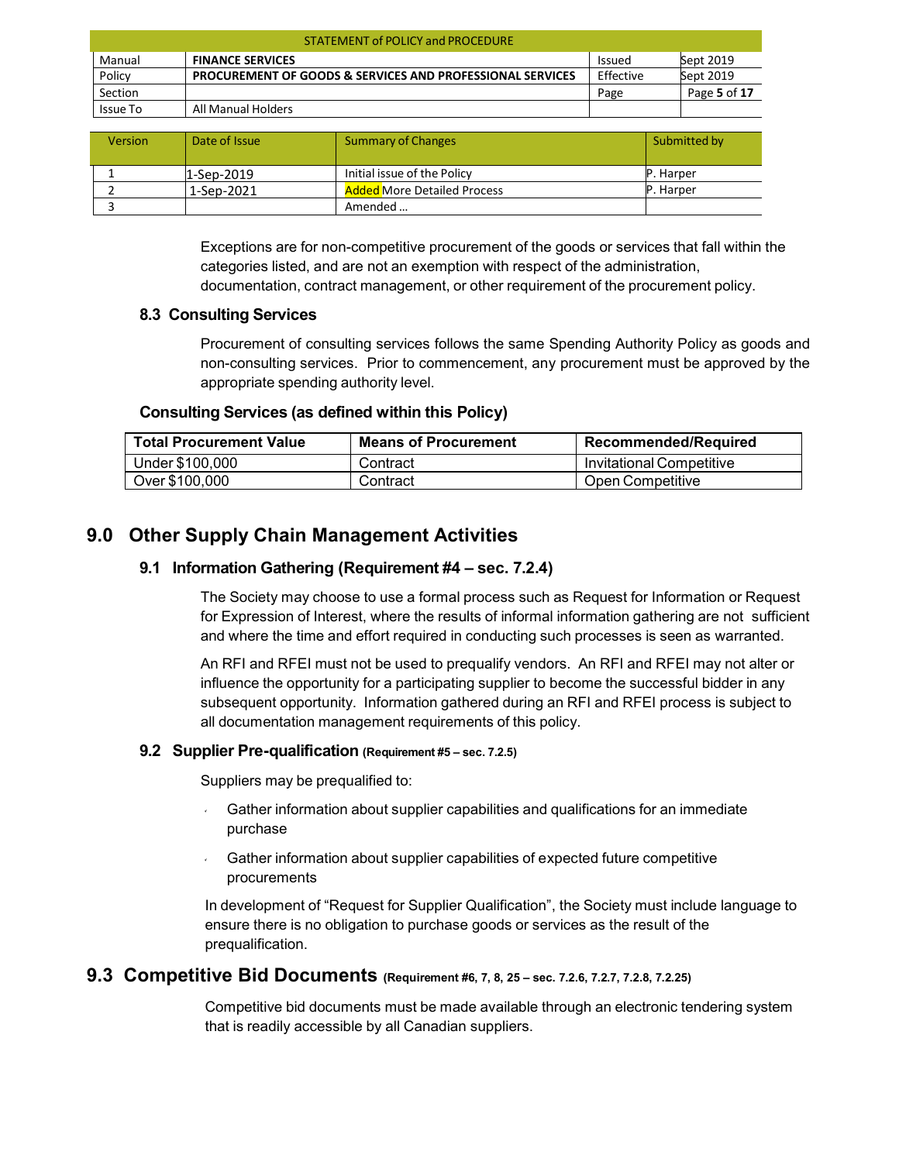| STATEMENT of POLICY and PROCEDURE |                                                                      |               |              |  |
|-----------------------------------|----------------------------------------------------------------------|---------------|--------------|--|
| Manual                            | <b>FINANCE SERVICES</b>                                              | <b>Issued</b> | Sept 2019    |  |
| Policy                            | <b>PROCUREMENT OF GOODS &amp; SERVICES AND PROFESSIONAL SERVICES</b> | Effective     | Sept 2019    |  |
| Section                           |                                                                      | Page          | Page 5 of 17 |  |
| Issue To                          | All Manual Holders                                                   |               |              |  |

| <b>Version</b> | Date of Issue | <b>Summary of Changes</b>          | Submitted by |
|----------------|---------------|------------------------------------|--------------|
|                | $1$ -Sep-2019 | Initial issue of the Policy        | P. Harper    |
|                | 1-Sep-2021    | <b>Added More Detailed Process</b> | P. Harper    |
|                |               | Amended                            |              |

Exceptions are for non-competitive procurement of the goods or services that fall within the categories listed, and are not an exemption with respect of the administration, documentation, contract management, or other requirement of the procurement policy.

### <span id="page-4-0"></span>**8.3 Consulting Services**

Procurement of consulting services follows the same Spending Authority Policy as goods and non-consulting services. Prior to commencement, any procurement must be approved by the appropriate spending authority level.

#### **Consulting Services (as defined within this Policy)**

<span id="page-4-1"></span>

| <b>Total Procurement Value</b> | <b>Means of Procurement</b> | <b>Recommended/Required</b> |
|--------------------------------|-----------------------------|-----------------------------|
| Under \$100,000                | Contract                    | Invitational Competitive    |
| Over \$100,000                 | Contract                    | Open Competitive            |

### <span id="page-4-3"></span><span id="page-4-2"></span>**9.0 Other Supply Chain Management Activities**

#### **9.1 Information Gathering (Requirement #4 – sec. 7.2.4)**

The Society may choose to use a formal process such as Request for Information or Request for Expression of Interest, where the results of informal information gathering are not sufficient and where the time and effort required in conducting such processes is seen as warranted.

An RFI and RFEI must not be used to prequalify vendors. An RFI and RFEI may not alter or influence the opportunity for a participating supplier to become the successful bidder in any subsequent opportunity. Information gathered during an RFI and RFEI process is subject to all documentation management requirements of this policy.

#### <span id="page-4-4"></span>**9.2 Supplier Pre-qualification (Requirement #5 – sec. 7.2.5)**

Suppliers may be prequalified to:

- Gather information about supplier capabilities and qualifications for an immediate purchase
- Gather information about supplier capabilities of expected future competitive procurements

In development of "Request for Supplier Qualification", the Society must include language to ensure there is no obligation to purchase goods or services as the result of the prequalification.

### <span id="page-4-5"></span>**9.3 Competitive Bid Documents (Requirement #6, 7, 8, <sup>25</sup> – sec. 7.2.6, 7.2.7, 7.2.8, 7.2.25)**

Competitive bid documents must be made available through an electronic tendering system that is readily accessible by all Canadian suppliers.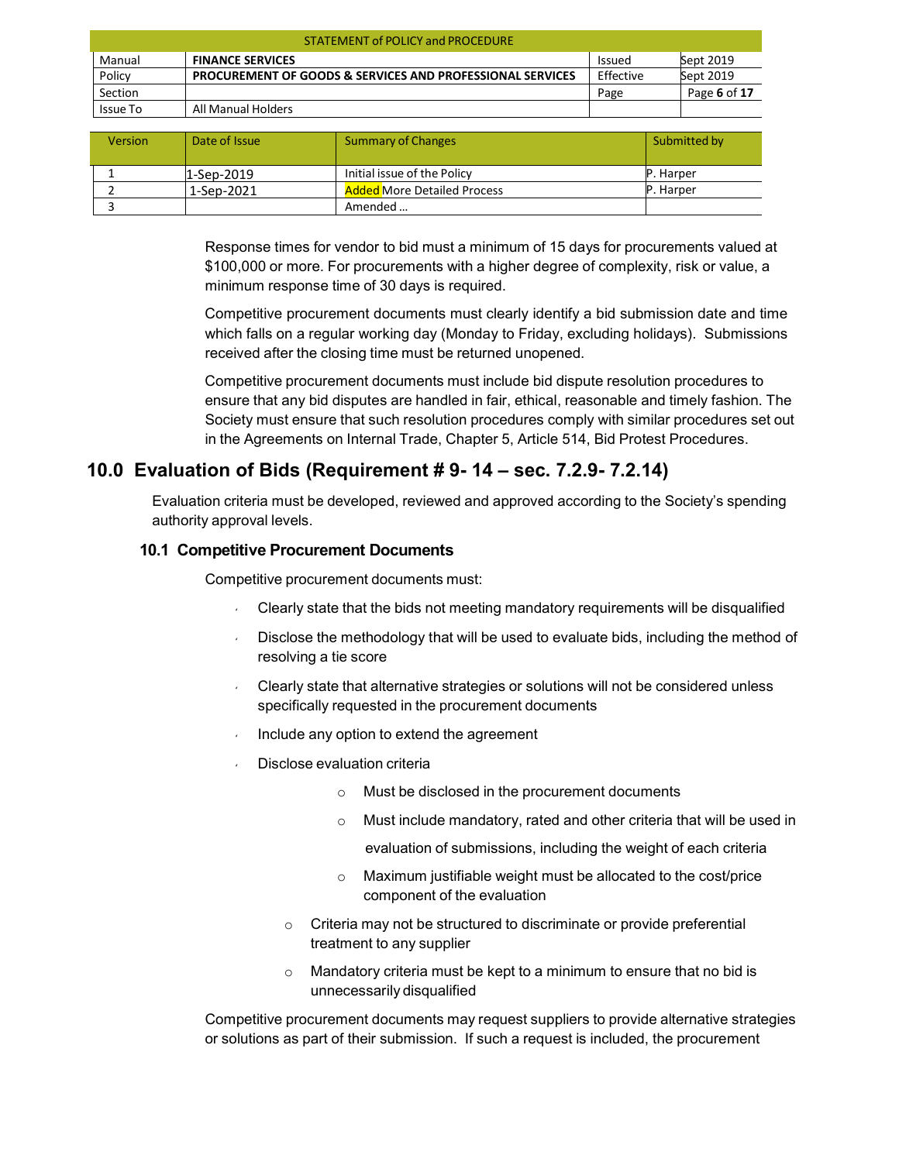| <b>STATEMENT of POLICY and PROCEDURE</b> |                                                                      |               |              |  |
|------------------------------------------|----------------------------------------------------------------------|---------------|--------------|--|
| Manual                                   | <b>FINANCE SERVICES</b>                                              | <b>Issued</b> | Sept 2019    |  |
| Policy                                   | <b>PROCUREMENT OF GOODS &amp; SERVICES AND PROFESSIONAL SERVICES</b> | Effective     | Sept 2019    |  |
| Section                                  |                                                                      | Page          | Page 6 of 17 |  |
| Issue To                                 | All Manual Holders                                                   |               |              |  |

| <b>Version</b> | Date of Issue | Summary of Changes                 | Submitted by     |
|----------------|---------------|------------------------------------|------------------|
|                | $1$ -Sep-2019 | Initial issue of the Policy        | <b>P.</b> Harper |
|                | 1-Sep-2021    | <b>Added More Detailed Process</b> | P. Harper        |
|                |               | Amended                            |                  |

Response times for vendor to bid must a minimum of 15 days for procurements valued at \$100,000 or more. For procurements with a higher degree of complexity, risk or value, a minimum response time of 30 days is required.

Competitive procurement documents must clearly identify a bid submission date and time which falls on a regular working day (Monday to Friday, excluding holidays). Submissions received after the closing time must be returned unopened.

Competitive procurement documents must include bid dispute resolution procedures to ensure that any bid disputes are handled in fair, ethical, reasonable and timely fashion. The Society must ensure that such resolution procedures comply with similar procedures set out in the Agreements on Internal Trade, Chapter 5, Article 514, Bid Protest Procedures.

### <span id="page-5-0"></span>**10.0 Evaluation of Bids (Requirement # 9- 14 – sec. 7.2.9- 7.2.14)**

Evaluation criteria must be developed, reviewed and approved according to the Society's spending authority approval levels.

### <span id="page-5-1"></span>**10.1 Competitive Procurement Documents**

Competitive procurement documents must:

- Clearly state that the bids not meeting mandatory requirements will be disqualified
- Disclose the methodology that will be used to evaluate bids, including the method of resolving a tie score
- Clearly state that alternative strategies or solutions will not be considered unless specifically requested in the procurement documents
- Include any option to extend the agreement
- Disclose evaluation criteria
	- o Must be disclosed in the procurement documents
	- o Must include mandatory, rated and other criteria that will be used in

evaluation of submissions, including the weight of each criteria

- o Maximum justifiable weight must be allocated to the cost/price component of the evaluation
- o Criteria may not be structured to discriminate or provide preferential treatment to any supplier
- $\circ$  Mandatory criteria must be kept to a minimum to ensure that no bid is unnecessarily disqualified

Competitive procurement documents may request suppliers to provide alternative strategies or solutions as part of their submission. If such a request is included, the procurement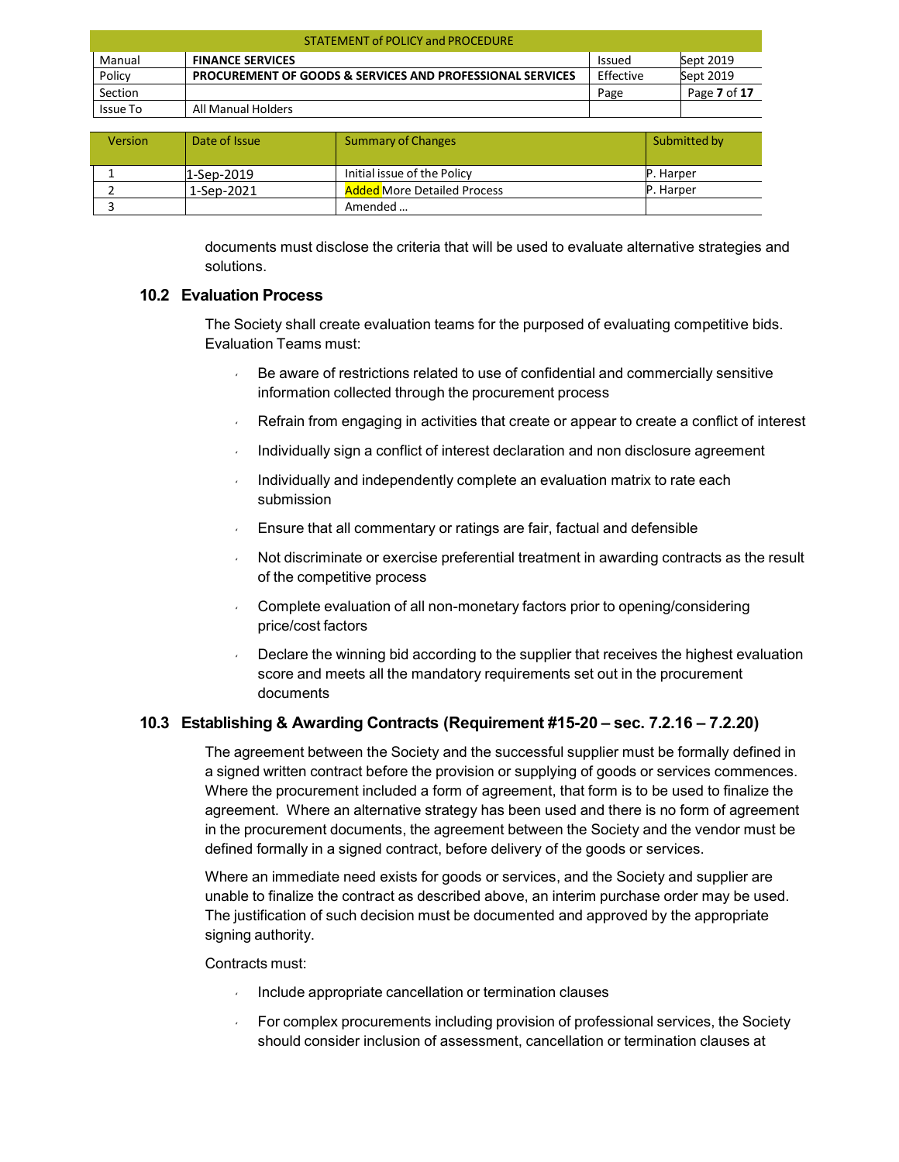| <b>STATEMENT of POLICY and PROCEDURE</b> |                                                                      |               |              |  |
|------------------------------------------|----------------------------------------------------------------------|---------------|--------------|--|
| Manual                                   | <b>FINANCE SERVICES</b>                                              | <b>Issued</b> | Sept 2019    |  |
| Policy                                   | <b>PROCUREMENT OF GOODS &amp; SERVICES AND PROFESSIONAL SERVICES</b> | Effective     | Sept 2019    |  |
| Section                                  |                                                                      | Page          | Page 7 of 17 |  |
| Issue To                                 | All Manual Holders                                                   |               |              |  |

| <b>Version</b> | Date of Issue | Summary of Changes                 | Submitted by      |
|----------------|---------------|------------------------------------|-------------------|
|                | $1$ -Sep-2019 | Initial issue of the Policy        | <b>IP.</b> Harper |
|                | 1-Sep-2021    | <b>Added More Detailed Process</b> | <b>IP.</b> Harper |
|                |               | Amended                            |                   |

documents must disclose the criteria that will be used to evaluate alternative strategies and solutions.

#### <span id="page-6-0"></span>**10.2 Evaluation Process**

The Society shall create evaluation teams for the purposed of evaluating competitive bids. Evaluation Teams must:

- Be aware of restrictions related to use of confidential and commercially sensitive information collected through the procurement process
- Refrain from engaging in activities that create or appear to create a conflict of interest
- Individually sign a conflict of interest declaration and non disclosure agreement
- Individually and independently complete an evaluation matrix to rate each submission
- Ensure that all commentary or ratings are fair, factual and defensible
- Not discriminate or exercise preferential treatment in awarding contracts as the result of the competitive process
- Complete evaluation of all non-monetary factors prior to opening/considering price/cost factors
- Declare the winning bid according to the supplier that receives the highest evaluation score and meets all the mandatory requirements set out in the procurement documents

### <span id="page-6-1"></span>**10.3 Establishing & Awarding Contracts (Requirement #15-20 – sec. 7.2.16 – 7.2.20)**

The agreement between the Society and the successful supplier must be formally defined in a signed written contract before the provision or supplying of goods or services commences. Where the procurement included a form of agreement, that form is to be used to finalize the agreement. Where an alternative strategy has been used and there is no form of agreement in the procurement documents, the agreement between the Society and the vendor must be defined formally in a signed contract, before delivery of the goods or services.

Where an immediate need exists for goods or services, and the Society and supplier are unable to finalize the contract as described above, an interim purchase order may be used. The justification of such decision must be documented and approved by the appropriate signing authority.

#### Contracts must:

- $\blacksquare$  Include appropriate cancellation or termination clauses
- For complex procurements including provision of professional services, the Society should consider inclusion of assessment, cancellation or termination clauses at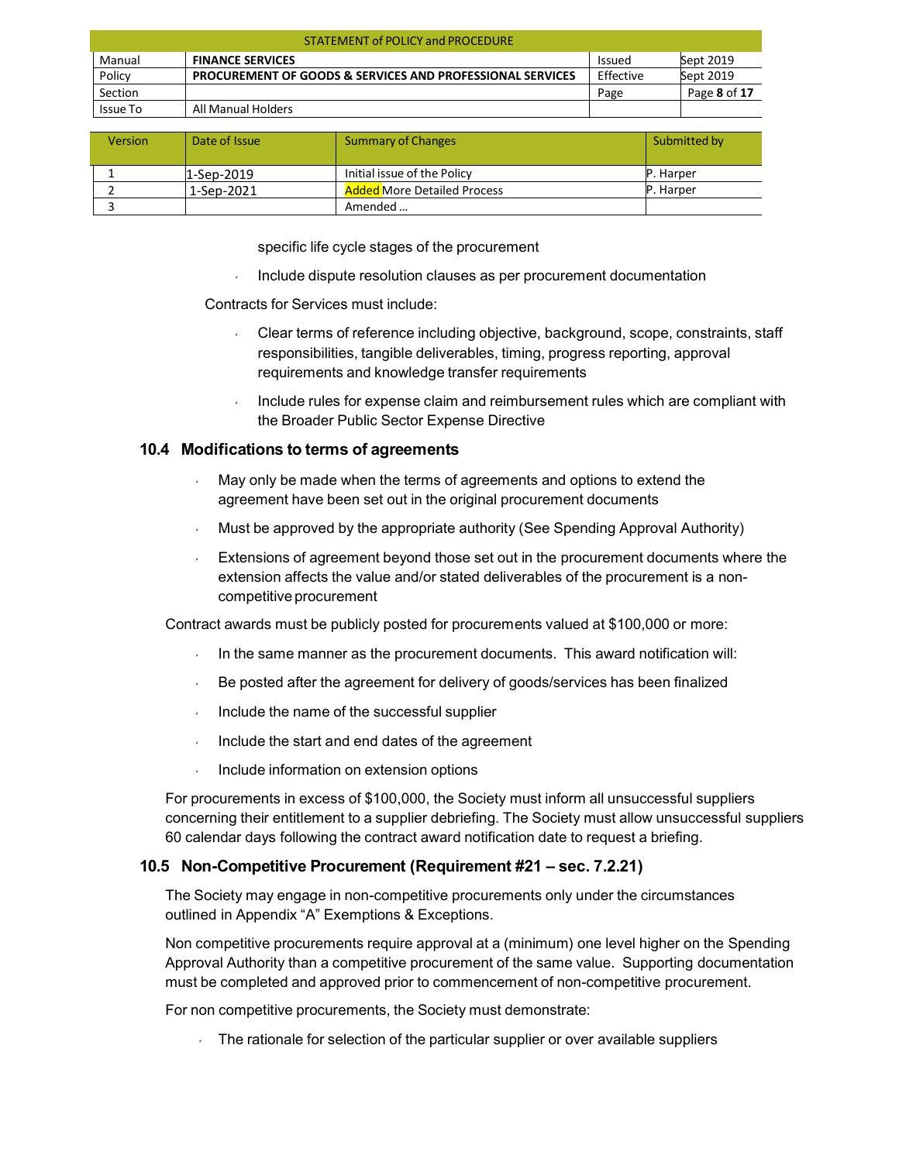| <b>STATEMENT of POLICY and PROCEDURE</b> |                                                                      |               |              |  |
|------------------------------------------|----------------------------------------------------------------------|---------------|--------------|--|
| Manual                                   | <b>FINANCE SERVICES</b>                                              | <b>Issued</b> | Sept 2019    |  |
| Policy                                   | <b>PROCUREMENT OF GOODS &amp; SERVICES AND PROFESSIONAL SERVICES</b> | Effective     | Sept 2019    |  |
| Section                                  |                                                                      | Page          | Page 8 of 17 |  |
| Issue To                                 | All Manual Holders                                                   |               |              |  |

| <b>Version</b> | Date of Issue | <b>Summary of Changes</b>          | Submitted by      |
|----------------|---------------|------------------------------------|-------------------|
|                | 1-Sep-2019    | Initial issue of the Policy        | <b>IP.</b> Harper |
|                | 1-Sep-2021    | <b>Added More Detailed Process</b> | P. Harper         |
|                |               | Amended                            |                   |

specific life cycle stages of the procurement

Include dispute resolution clauses as per procurement documentation

Contracts for Services must include:

- Clear terms of reference including objective, background, scope, constraints, staff responsibilities, tangible deliverables, timing, progress reporting, approval requirements and knowledge transfer requirements
- Include rules for expense claim and reimbursement rules which are compliant with the Broader Public Sector Expense Directive

#### <span id="page-7-0"></span>**10.4 Modifications to terms of agreements**

- May only be made when the terms of agreements and options to extend the agreement have been set out in the original procurement documents
- Must be approved by the appropriate authority (See Spending Approval Authority)
- Extensions of agreement beyond those set out in the procurement documents where the extension affects the value and/or stated deliverables of the procurement is a noncompetitive procurement

Contract awards must be publicly posted for procurements valued at \$100,000 or more:

- In the same manner as the procurement documents. This award notification will:
- $\overline{B}$  Be posted after the agreement for delivery of goods/services has been finalized
- $\blacksquare$  Include the name of the successful supplier
- Include the start and end dates of the agreement
- Include information on extension options

For procurements in excess of \$100,000, the Society must inform all unsuccessful suppliers concerning their entitlement to a supplier debriefing. The Society must allow unsuccessful suppliers 60 calendar days following the contract award notification date to request a briefing.

### <span id="page-7-1"></span>**10.5 Non-Competitive Procurement (Requirement #21 – sec. 7.2.21)**

The Society may engage in non-competitive procurements only under the circumstances outlined in Appendix "A" Exemptions & Exceptions.

Non competitive procurements require approval at a (minimum) one level higher on the Spending Approval Authority than a competitive procurement of the same value. Supporting documentation must be completed and approved prior to commencement of non-competitive procurement.

For non competitive procurements, the Society must demonstrate:

 $\sim$  The rationale for selection of the particular supplier or over available suppliers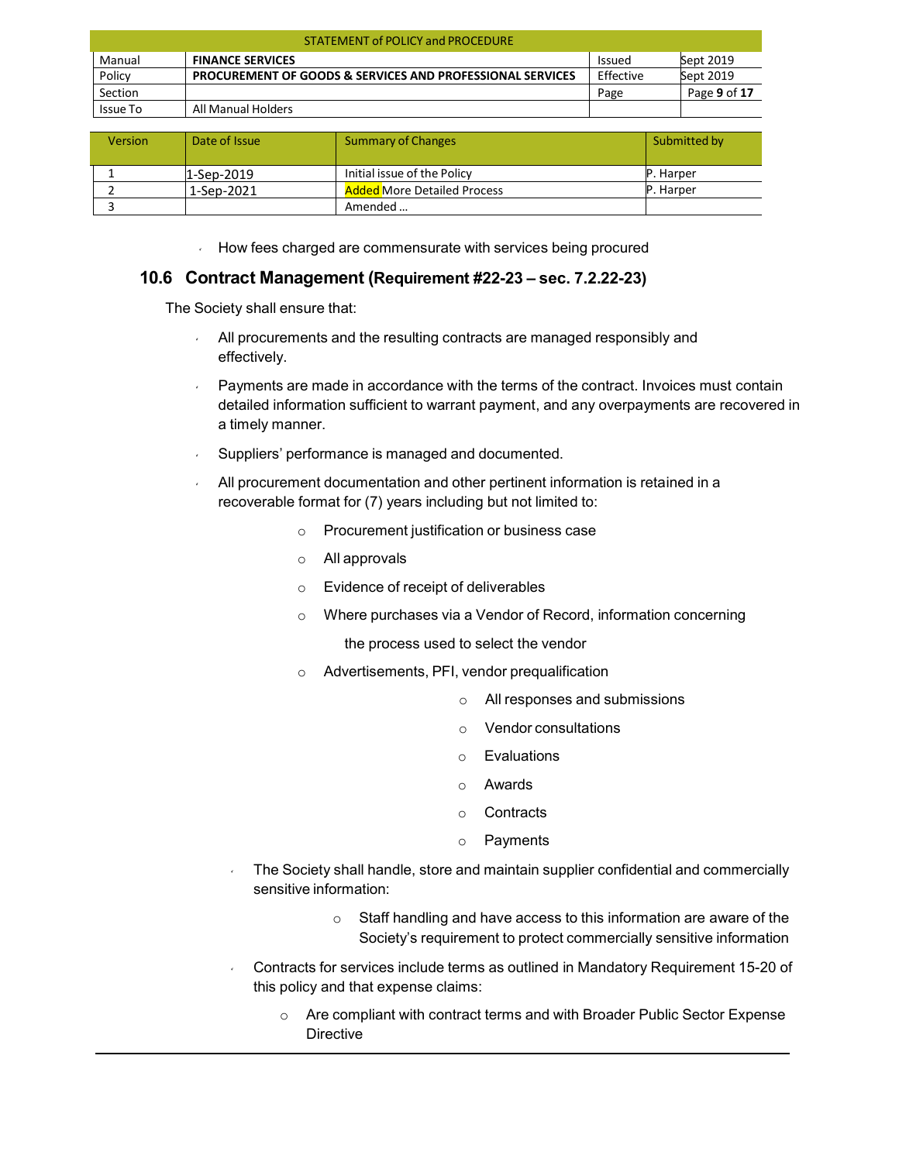| <b>STATEMENT of POLICY and PROCEDURE</b> |                                                                      |               |              |  |
|------------------------------------------|----------------------------------------------------------------------|---------------|--------------|--|
| Manual                                   | <b>FINANCE SERVICES</b>                                              | <b>Issued</b> | Sept 2019    |  |
| Policy                                   | <b>PROCUREMENT OF GOODS &amp; SERVICES AND PROFESSIONAL SERVICES</b> | Effective     | Sept 2019    |  |
| Section                                  |                                                                      | Page          | Page 9 of 17 |  |
| Issue To                                 | All Manual Holders                                                   |               |              |  |

| <b>Version</b> | Date of Issue | <b>Summary of Changes</b>          | Submitted by     |
|----------------|---------------|------------------------------------|------------------|
|                | $1$ -Sep-2019 | Initial issue of the Policy        | <b>P.</b> Harper |
|                | 1-Sep-2021    | <b>Added More Detailed Process</b> | P. Harper        |
|                |               | Amended                            |                  |

**How fees charged are commensurate with services being procured** 

### <span id="page-8-0"></span>**10.6 Contract Management (Requirement #22-23 – sec. 7.2.22-23)**

The Society shall ensure that:

- All procurements and the resulting contracts are managed responsibly and effectively.
- Payments are made in accordance with the terms of the contract. Invoices must contain detailed information sufficient to warrant payment, and any overpayments are recovered in a timely manner.
- Suppliers' performance is managed and documented.
- All procurement documentation and other pertinent information is retained in a recoverable format for (7) years including but not limited to:
	- o Procurement justification or business case
	- o All approvals
	- o Evidence of receipt of deliverables
	- o Where purchases via a Vendor of Record, information concerning

the process used to select the vendor

- o Advertisements, PFI, vendor prequalification
	- o All responses and submissions
	- o Vendor consultations
	- o Evaluations
	- o Awards
	- o Contracts
	- o Payments
- The Society shall handle, store and maintain supplier confidential and commercially sensitive information:
	- o Staff handling and have access to this information are aware of the Society's requirement to protect commercially sensitive information
- Contracts for services include terms as outlined in Mandatory Requirement 15-20 of this policy and that expense claims:
	- o Are compliant with contract terms and with Broader Public Sector Expense **Directive**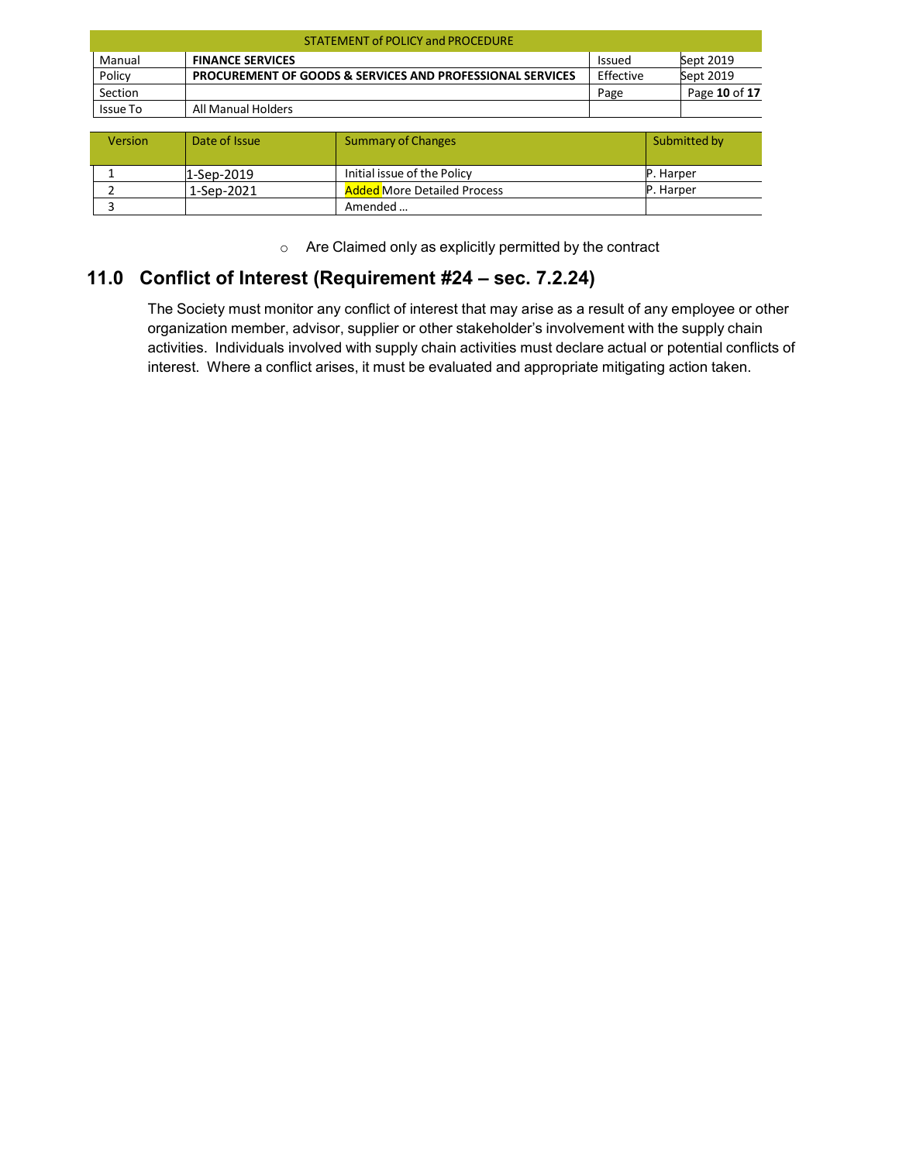| <b>STATEMENT of POLICY and PROCEDURE</b> |                                                                      |               |               |  |
|------------------------------------------|----------------------------------------------------------------------|---------------|---------------|--|
| Manual                                   | <b>FINANCE SERVICES</b>                                              | <b>Issued</b> | Sept 2019     |  |
| Policy                                   | <b>PROCUREMENT OF GOODS &amp; SERVICES AND PROFESSIONAL SERVICES</b> | Effective     | Sept 2019     |  |
| Section                                  |                                                                      | Page          | Page 10 of 17 |  |
| Issue To                                 | All Manual Holders                                                   |               |               |  |

| <b>Version</b> | Date of Issue | <b>Summary of Changes</b>          | Submitted by |
|----------------|---------------|------------------------------------|--------------|
|                | 1-Sep-2019    | Initial issue of the Policy        | P. Harper    |
|                | 1-Sep-2021    | <b>Added More Detailed Process</b> | P. Harper    |
|                |               | Amended                            |              |

o Are Claimed only as explicitly permitted by the contract

## <span id="page-9-0"></span>**11.0 Conflict of Interest (Requirement #24 – sec. 7.2.24)**

The Society must monitor any conflict of interest that may arise as a result of any employee or other organization member, advisor, supplier or other stakeholder's involvement with the supply chain activities. Individuals involved with supply chain activities must declare actual or potential conflicts of interest. Where a conflict arises, it must be evaluated and appropriate mitigating action taken.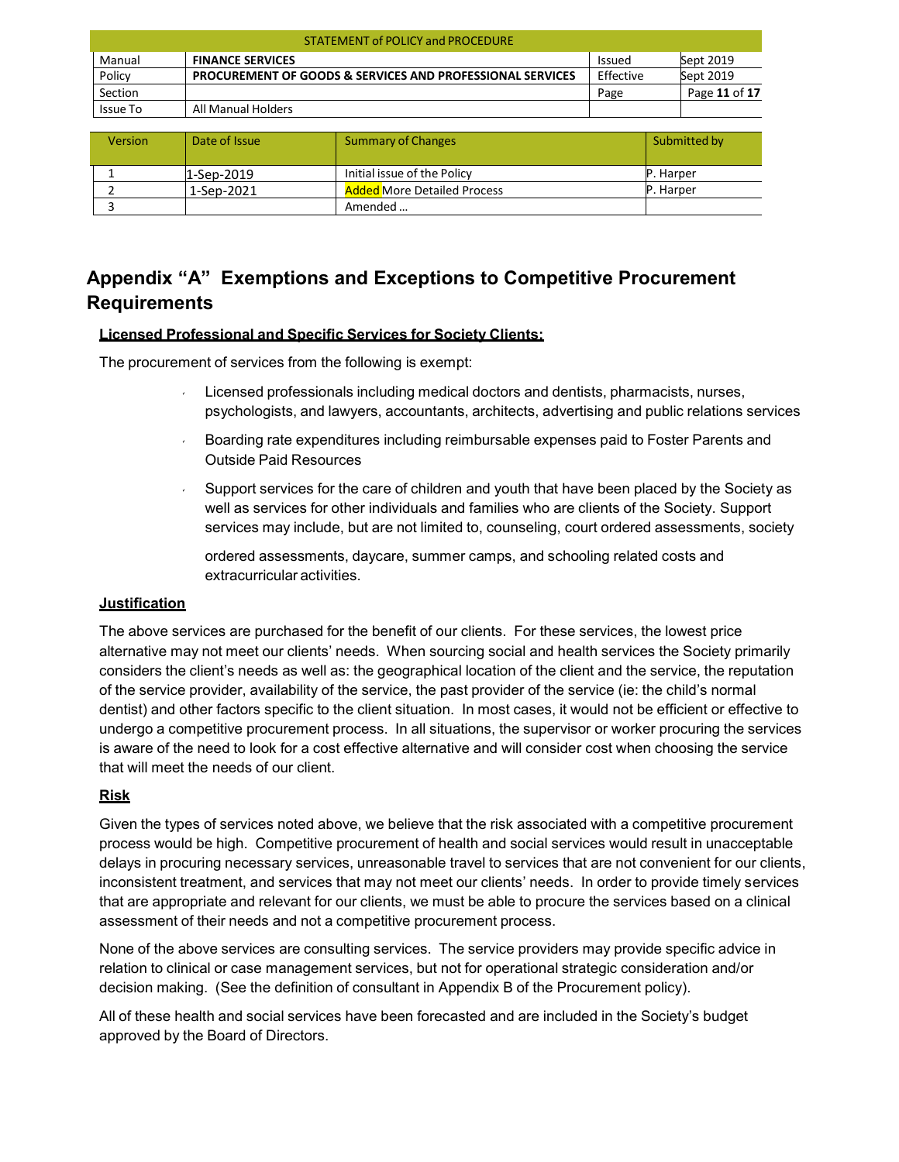| <b>STATEMENT of POLICY and PROCEDURE</b> |                                                                      |               |               |  |
|------------------------------------------|----------------------------------------------------------------------|---------------|---------------|--|
| Manual                                   | <b>FINANCE SERVICES</b>                                              | <b>Issued</b> | Sept 2019     |  |
| Policy                                   | <b>PROCUREMENT OF GOODS &amp; SERVICES AND PROFESSIONAL SERVICES</b> | Effective     | Sept 2019     |  |
| Section                                  |                                                                      | Page          | Page 11 of 17 |  |
| Issue To                                 | All Manual Holders                                                   |               |               |  |

| <b>Version</b> | Date of Issue | <b>Summary of Changes</b>          | Submitted by     |
|----------------|---------------|------------------------------------|------------------|
|                | 1-Sep-2019    | Initial issue of the Policy        | <b>P.</b> Harper |
|                | 1-Sep-2021    | <b>Added More Detailed Process</b> | P. Harper        |
|                |               | Amended                            |                  |

## <span id="page-10-0"></span>**Appendix "A" Exemptions and Exceptions to Competitive Procurement Requirements**

### **Licensed Professional and Specific Services for Society Clients:**

The procurement of services from the following is exempt:

- Licensed professionals including medical doctors and dentists, pharmacists, nurses, psychologists, and lawyers, accountants, architects, advertising and public relations services
- Boarding rate expenditures including reimbursable expenses paid to Foster Parents and Outside Paid Resources
- $\sim$  Support services for the care of children and youth that have been placed by the Society as well as services for other individuals and families who are clients of the Society. Support services may include, but are not limited to, counseling, court ordered assessments, society

ordered assessments, daycare, summer camps, and schooling related costs and extracurricular activities.

#### **Justification**

The above services are purchased for the benefit of our clients. For these services, the lowest price alternative may not meet our clients' needs. When sourcing social and health services the Society primarily considers the client's needs as well as: the geographical location of the client and the service, the reputation of the service provider, availability of the service, the past provider of the service (ie: the child's normal dentist) and other factors specific to the client situation. In most cases, it would not be efficient or effective to undergo a competitive procurement process. In all situations, the supervisor or worker procuring the services is aware of the need to look for a cost effective alternative and will consider cost when choosing the service that will meet the needs of our client.

### **Risk**

Given the types of services noted above, we believe that the risk associated with a competitive procurement process would be high. Competitive procurement of health and social services would result in unacceptable delays in procuring necessary services, unreasonable travel to services that are not convenient for our clients, inconsistent treatment, and services that may not meet our clients' needs. In order to provide timely services that are appropriate and relevant for our clients, we must be able to procure the services based on a clinical assessment of their needs and not a competitive procurement process.

None of the above services are consulting services. The service providers may provide specific advice in relation to clinical or case management services, but not for operational strategic consideration and/or decision making. (See the definition of consultant in Appendix B of the Procurement policy).

All of these health and social services have been forecasted and are included in the Society's budget approved by the Board of Directors.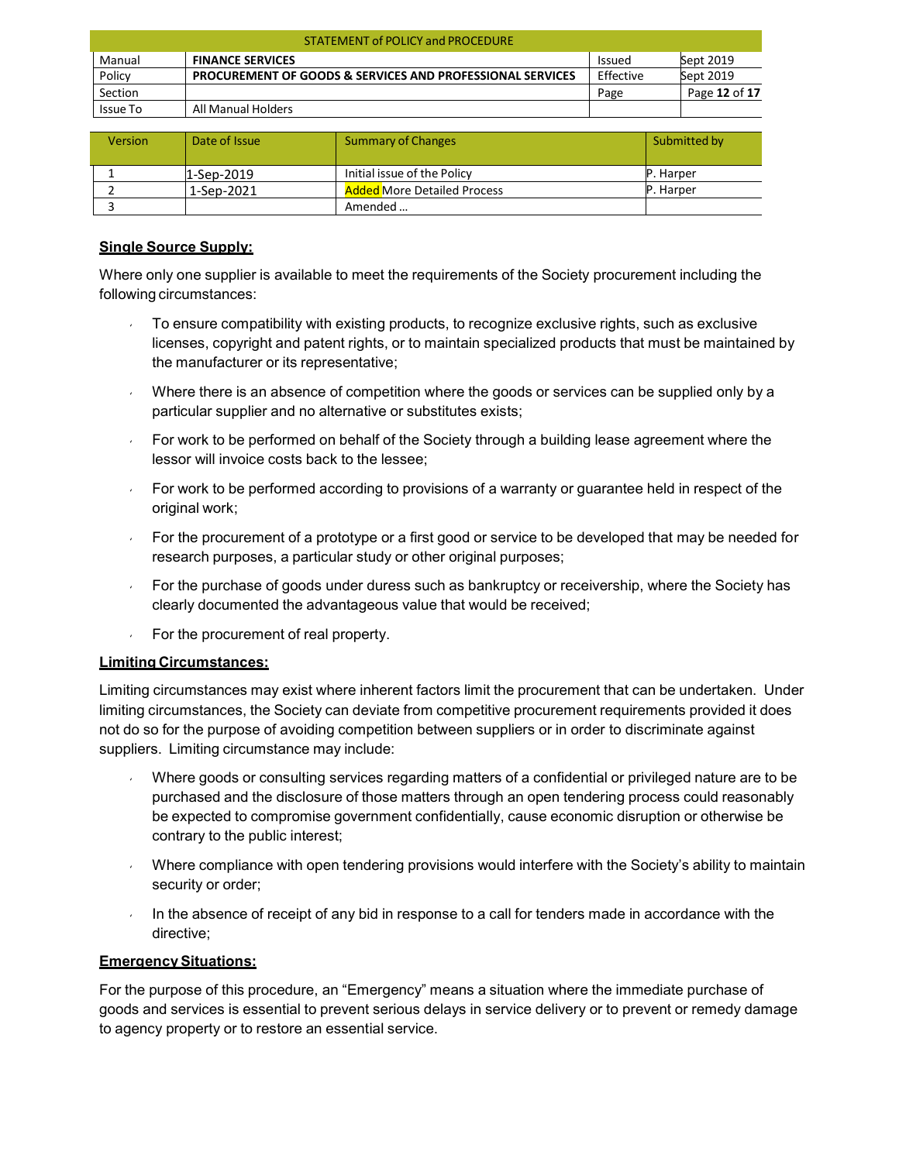| <b>STATEMENT of POLICY and PROCEDURE</b> |                                                                      |               |               |  |
|------------------------------------------|----------------------------------------------------------------------|---------------|---------------|--|
| Manual                                   | <b>FINANCE SERVICES</b>                                              | <b>Issued</b> | Sept 2019     |  |
| Policy                                   | <b>PROCUREMENT OF GOODS &amp; SERVICES AND PROFESSIONAL SERVICES</b> | Effective     | Sept 2019     |  |
| Section                                  |                                                                      | Page          | Page 12 of 17 |  |
| Issue To                                 | All Manual Holders                                                   |               |               |  |

| <b>Version</b> | Date of Issue | <b>Summary of Changes</b>          | Submitted by      |
|----------------|---------------|------------------------------------|-------------------|
|                | 1-Sep-2019    | Initial issue of the Policy        | <b>IP.</b> Harper |
|                | 1-Sep-2021    | <b>Added More Detailed Process</b> | P. Harper         |
|                |               | Amended                            |                   |

### **Single Source Supply:**

Where only one supplier is available to meet the requirements of the Society procurement including the following circumstances:

- To ensure compatibility with existing products, to recognize exclusive rights, such as exclusive licenses, copyright and patent rights, or to maintain specialized products that must be maintained by the manufacturer or its representative;
- Where there is an absence of competition where the goods or services can be supplied only by a particular supplier and no alternative or substitutes exists;
- For work to be performed on behalf of the Society through a building lease agreement where the lessor will invoice costs back to the lessee;
- For work to be performed according to provisions of a warranty or guarantee held in respect of the original work;
- For the procurement of a prototype or a first good or service to be developed that may be needed for research purposes, a particular study or other original purposes;
- For the purchase of goods under duress such as bankruptcy or receivership, where the Society has clearly documented the advantageous value that would be received;
- For the procurement of real property.

### **Limiting Circumstances:**

Limiting circumstances may exist where inherent factors limit the procurement that can be undertaken. Under limiting circumstances, the Society can deviate from competitive procurement requirements provided it does not do so for the purpose of avoiding competition between suppliers or in order to discriminate against suppliers. Limiting circumstance may include:

- Where goods or consulting services regarding matters of a confidential or privileged nature are to be purchased and the disclosure of those matters through an open tendering process could reasonably be expected to compromise government confidentially, cause economic disruption or otherwise be contrary to the public interest;
- Where compliance with open tendering provisions would interfere with the Society's ability to maintain security or order;
- In the absence of receipt of any bid in response to a call for tenders made in accordance with the directive;

### **EmergencySituations:**

For the purpose of this procedure, an "Emergency" means a situation where the immediate purchase of goods and services is essential to prevent serious delays in service delivery or to prevent or remedy damage to agency property or to restore an essential service.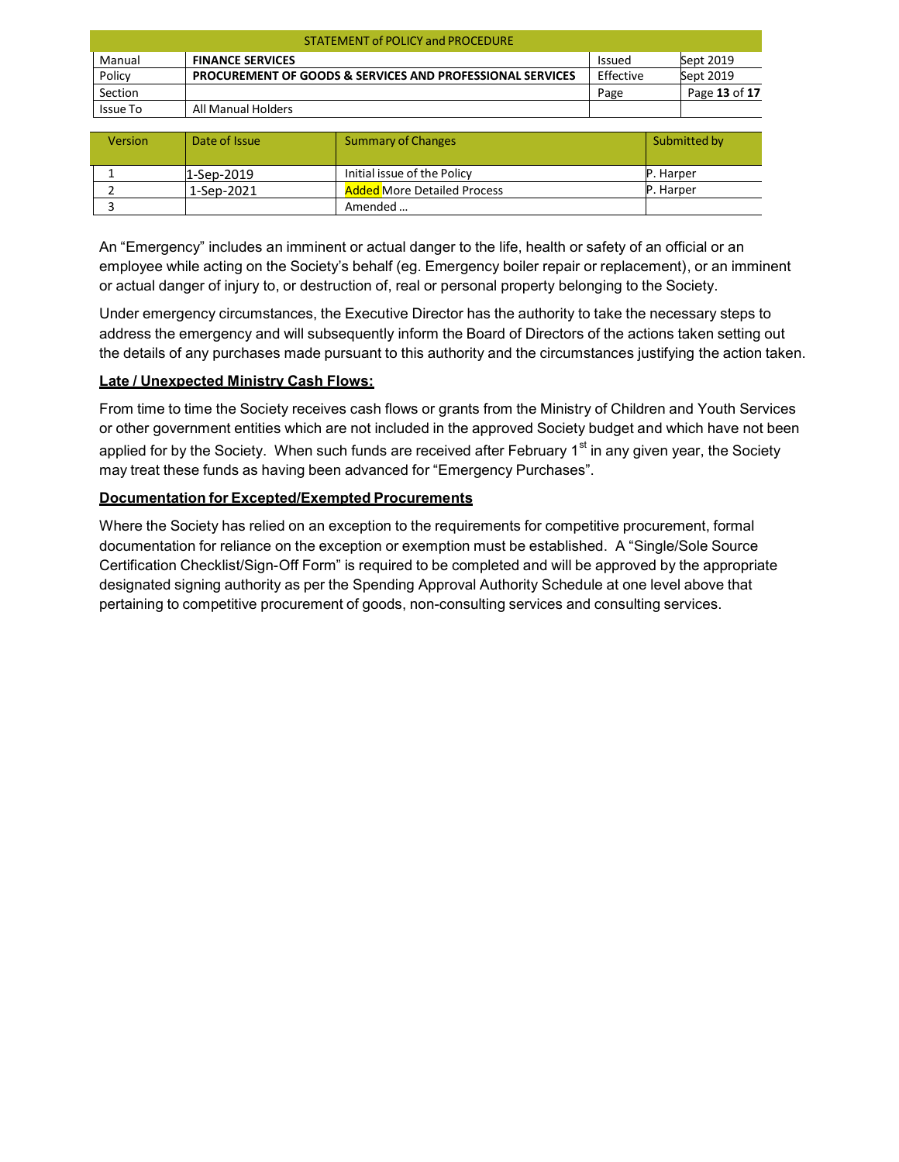| <b>STATEMENT of POLICY and PROCEDURE</b> |                                                                      |               |               |  |
|------------------------------------------|----------------------------------------------------------------------|---------------|---------------|--|
| Manual                                   | <b>FINANCE SERVICES</b>                                              | <b>Issued</b> | Sept 2019     |  |
| Policy                                   | <b>PROCUREMENT OF GOODS &amp; SERVICES AND PROFESSIONAL SERVICES</b> | Effective     | Sept 2019     |  |
| Section                                  |                                                                      | Page          | Page 13 of 17 |  |
| Issue To                                 | All Manual Holders                                                   |               |               |  |

| <b>Version</b> | Date of Issue | Summary of Changes                 | Submitted by      |
|----------------|---------------|------------------------------------|-------------------|
|                | 1-Sep-2019    | Initial issue of the Policy        | <b>IP.</b> Harper |
|                | 1-Sep-2021    | <b>Added More Detailed Process</b> | P. Harper         |
|                |               | Amended                            |                   |

An "Emergency" includes an imminent or actual danger to the life, health or safety of an official or an employee while acting on the Society's behalf (eg. Emergency boiler repair or replacement), or an imminent or actual danger of injury to, or destruction of, real or personal property belonging to the Society.

Under emergency circumstances, the Executive Director has the authority to take the necessary steps to address the emergency and will subsequently inform the Board of Directors of the actions taken setting out the details of any purchases made pursuant to this authority and the circumstances justifying the action taken.

### **Late / Unexpected Ministry Cash Flows:**

From time to time the Society receives cash flows or grants from the Ministry of Children and Youth Services or other government entities which are not included in the approved Society budget and which have not been applied for by the Society. When such funds are received after February  $1<sup>st</sup>$  in any given year, the Society may treat these funds as having been advanced for "Emergency Purchases".

### **Documentation for Excepted/Exempted Procurements**

Where the Society has relied on an exception to the requirements for competitive procurement, formal documentation for reliance on the exception or exemption must be established. A "Single/Sole Source Certification Checklist/Sign-Off Form" is required to be completed and will be approved by the appropriate designated signing authority as per the Spending Approval Authority Schedule at one level above that pertaining to competitive procurement of goods, non-consulting services and consulting services.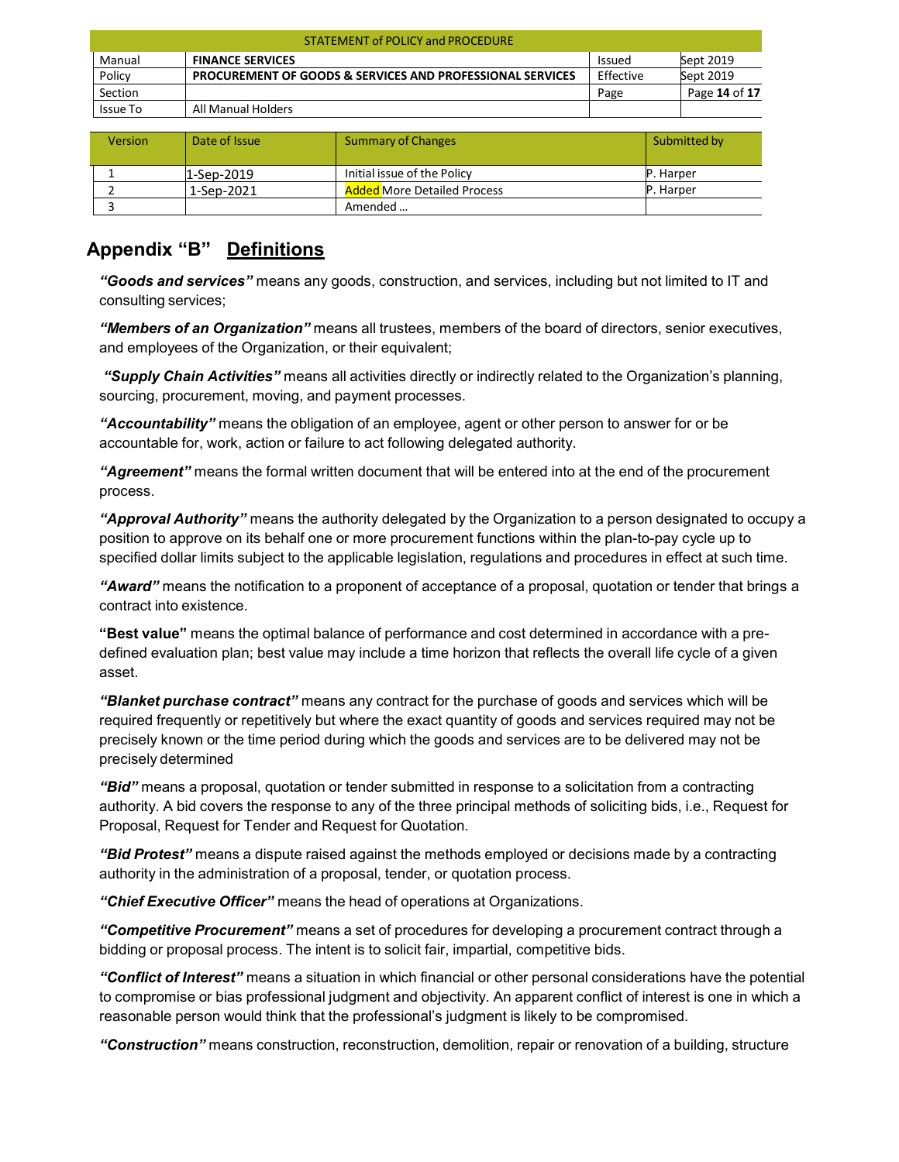| <b>STATEMENT of POLICY and PROCEDURE</b> |                                                                      |               |               |  |
|------------------------------------------|----------------------------------------------------------------------|---------------|---------------|--|
| Manual                                   | <b>FINANCE SERVICES</b>                                              | <b>Issued</b> | Sept 2019     |  |
| Policy                                   | <b>PROCUREMENT OF GOODS &amp; SERVICES AND PROFESSIONAL SERVICES</b> | Effective     | Sept 2019     |  |
| Section                                  |                                                                      | Page          | Page 14 of 17 |  |
| Issue To                                 | All Manual Holders                                                   |               |               |  |

| <b>Version</b> | Date of Issue | <b>Summary of Changes</b>          | Submitted by     |
|----------------|---------------|------------------------------------|------------------|
|                | 1-Sep-2019    | Initial issue of the Policy        | <b>P.</b> Harper |
|                | 1-Sep-2021    | <b>Added More Detailed Process</b> | <b>P.</b> Harper |
|                |               | Amended                            |                  |

## <span id="page-13-0"></span>**Appendix "B" Definitions**

*"Goods and services"* means any goods, construction, and services, including but not limited to IT and consulting services;

*"Members of an Organization"* means all trustees, members of the board of directors, senior executives, and employees of the Organization, or their equivalent;

*"Supply Chain Activities"* means all activities directly or indirectly related to the Organization's planning, sourcing, procurement, moving, and payment processes.

*"Accountability"* means the obligation of an employee, agent or other person to answer for or be accountable for, work, action or failure to act following delegated authority.

*"Agreement"* means the formal written document that will be entered into at the end of the procurement process.

*"Approval Authority"* means the authority delegated by the Organization to a person designated to occupy a position to approve on its behalf one or more procurement functions within the plan-to-pay cycle up to specified dollar limits subject to the applicable legislation, regulations and procedures in effect at such time.

*"Award"* means the notification to a proponent of acceptance of a proposal, quotation or tender that brings a contract into existence.

**"Best value"** means the optimal balance of performance and cost determined in accordance with a predefined evaluation plan; best value may include a time horizon that reflects the overall life cycle of a given asset.

*"Blanket purchase contract"* means any contract for the purchase of goods and services which will be required frequently or repetitively but where the exact quantity of goods and services required may not be precisely known or the time period during which the goods and services are to be delivered may not be precisely determined

*"Bid"* means a proposal, quotation or tender submitted in response to a solicitation from a contracting authority. A bid covers the response to any of the three principal methods of soliciting bids, i.e., Request for Proposal, Request for Tender and Request for Quotation.

*"Bid Protest"* means a dispute raised against the methods employed or decisions made by a contracting authority in the administration of a proposal, tender, or quotation process.

*"Chief Executive Officer"* means the head of operations at Organizations.

*"Competitive Procurement"* means a set of procedures for developing a procurement contract through a bidding or proposal process. The intent is to solicit fair, impartial, competitive bids.

*"Conflict of Interest"* means a situation in which financial or other personal considerations have the potential to compromise or bias professional judgment and objectivity. An apparent conflict of interest is one in which a reasonable person would think that the professional's judgment is likely to be compromised.

*"Construction"* means construction, reconstruction, demolition, repair or renovation of a building, structure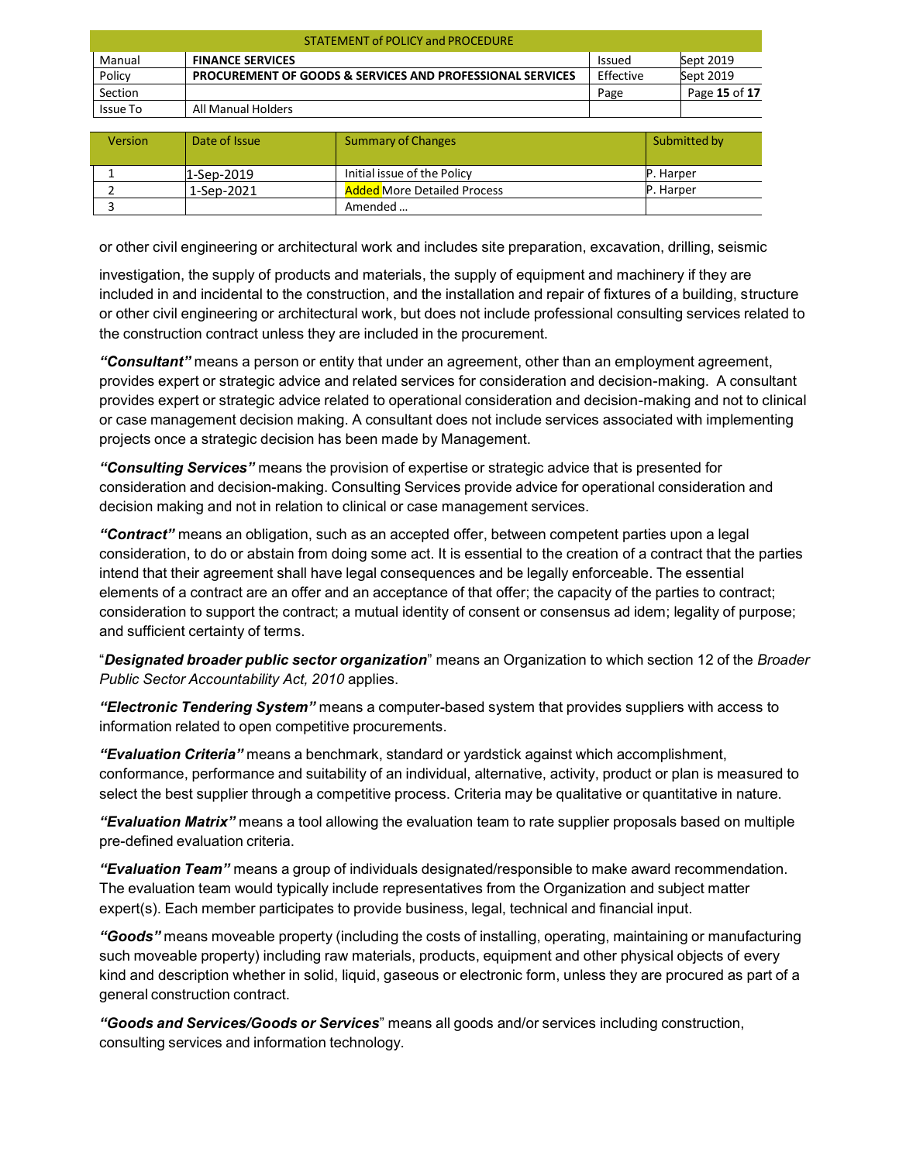| <b>STATEMENT of POLICY and PROCEDURE</b> |                                                                      |               |               |  |
|------------------------------------------|----------------------------------------------------------------------|---------------|---------------|--|
| Manual                                   | <b>FINANCE SERVICES</b>                                              | <b>Issued</b> | Sept 2019     |  |
| Policy                                   | <b>PROCUREMENT OF GOODS &amp; SERVICES AND PROFESSIONAL SERVICES</b> | Effective     | Sept 2019     |  |
| Section                                  |                                                                      | Page          | Page 15 of 17 |  |
| Issue To                                 | All Manual Holders                                                   |               |               |  |

| <b>Version</b> | Date of Issue | Summary of Changes                 | Submitted by      |
|----------------|---------------|------------------------------------|-------------------|
|                |               |                                    |                   |
|                | 1-Sep-2019    | Initial issue of the Policy        | <b>IP.</b> Harper |
|                | 1-Sep-2021    | <b>Added More Detailed Process</b> | P. Harper         |
|                |               | Amended                            |                   |

or other civil engineering or architectural work and includes site preparation, excavation, drilling, seismic

investigation, the supply of products and materials, the supply of equipment and machinery if they are included in and incidental to the construction, and the installation and repair of fixtures of a building, structure or other civil engineering or architectural work, but does not include professional consulting services related to the construction contract unless they are included in the procurement.

*"Consultant"* means a person or entity that under an agreement, other than an employment agreement, provides expert or strategic advice and related services for consideration and decision-making. A consultant provides expert or strategic advice related to operational consideration and decision-making and not to clinical or case management decision making. A consultant does not include services associated with implementing projects once a strategic decision has been made by Management.

*"Consulting Services"* means the provision of expertise or strategic advice that is presented for consideration and decision-making. Consulting Services provide advice for operational consideration and decision making and not in relation to clinical or case management services.

*"Contract"* means an obligation, such as an accepted offer, between competent parties upon a legal consideration, to do or abstain from doing some act. It is essential to the creation of a contract that the parties intend that their agreement shall have legal consequences and be legally enforceable. The essential elements of a contract are an offer and an acceptance of that offer; the capacity of the parties to contract; consideration to support the contract; a mutual identity of consent or consensus ad idem; legality of purpose; and sufficient certainty of terms.

"*Designated broader public sector organization*" means an Organization to which section 12 of the *Broader Public Sector Accountability Act, 2010* applies.

*"Electronic Tendering System"* means a computer-based system that provides suppliers with access to information related to open competitive procurements.

*"Evaluation Criteria"* means a benchmark, standard or yardstick against which accomplishment, conformance, performance and suitability of an individual, alternative, activity, product or plan is measured to select the best supplier through a competitive process. Criteria may be qualitative or quantitative in nature.

*"Evaluation Matrix"* means a tool allowing the evaluation team to rate supplier proposals based on multiple pre-defined evaluation criteria.

*"Evaluation Team"* means a group of individuals designated/responsible to make award recommendation. The evaluation team would typically include representatives from the Organization and subject matter expert(s). Each member participates to provide business, legal, technical and financial input.

*"Goods"* means moveable property (including the costs of installing, operating, maintaining or manufacturing such moveable property) including raw materials, products, equipment and other physical objects of every kind and description whether in solid, liquid, gaseous or electronic form, unless they are procured as part of a general construction contract.

*"Goods and Services/Goods or Services*" means all goods and/or services including construction, consulting services and information technology.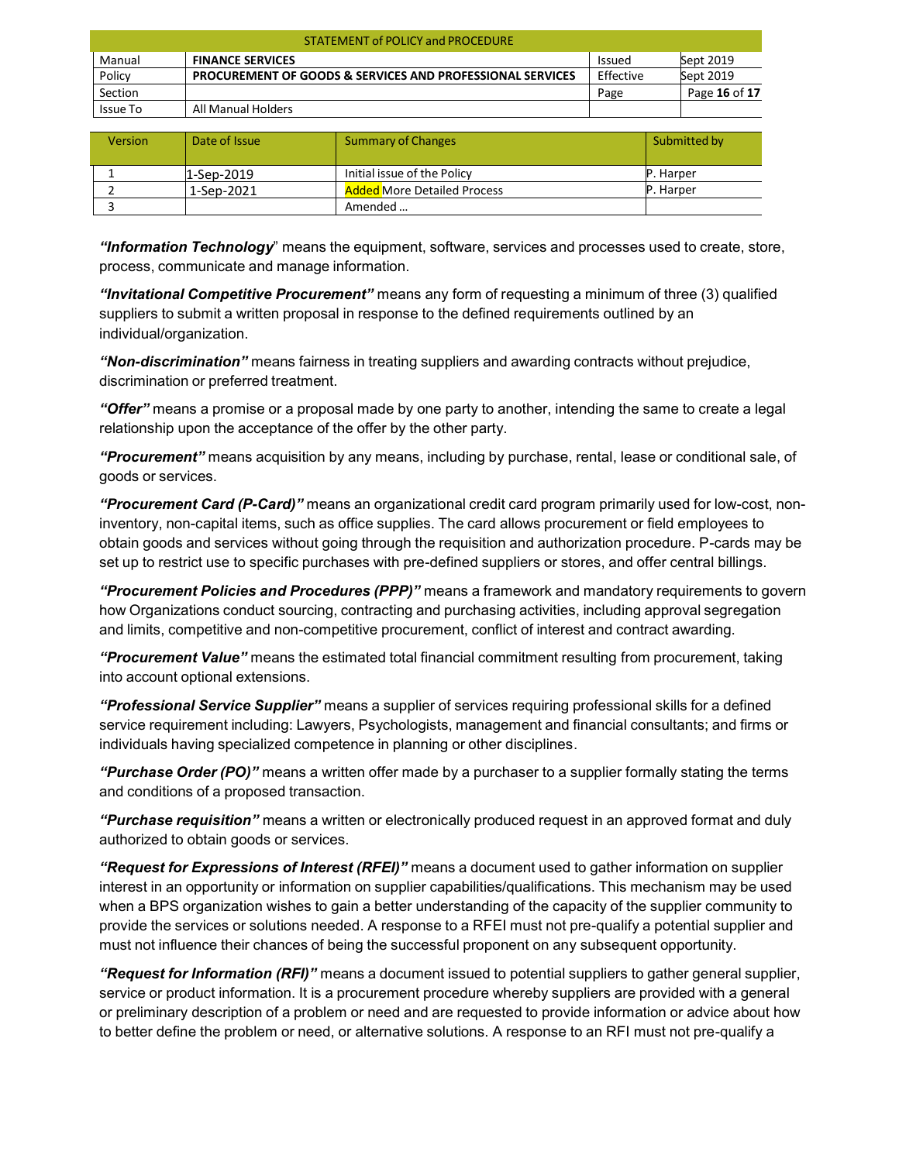| <b>STATEMENT of POLICY and PROCEDURE</b> |                                                                      |               |               |  |
|------------------------------------------|----------------------------------------------------------------------|---------------|---------------|--|
| Manual                                   | <b>FINANCE SERVICES</b>                                              | <b>Issued</b> | Sept 2019     |  |
| Policy                                   | <b>PROCUREMENT OF GOODS &amp; SERVICES AND PROFESSIONAL SERVICES</b> | Effective     | Sept 2019     |  |
| Section                                  |                                                                      | Page          | Page 16 of 17 |  |
| Issue To                                 | All Manual Holders                                                   |               |               |  |

| <b>Version</b> | Date of Issue | <b>Summary of Changes</b>          | Submitted by     |
|----------------|---------------|------------------------------------|------------------|
|                | 1-Sep-2019    | Initial issue of the Policy        | <b>P.</b> Harper |
|                | 1-Sep-2021    | <b>Added More Detailed Process</b> | <b>P.</b> Harper |
|                |               | Amended                            |                  |

*"Information Technology*" means the equipment, software, services and processes used to create, store, process, communicate and manage information.

*"Invitational Competitive Procurement"* means any form of requesting a minimum of three (3) qualified suppliers to submit a written proposal in response to the defined requirements outlined by an individual/organization.

*"Non-discrimination"* means fairness in treating suppliers and awarding contracts without prejudice, discrimination or preferred treatment.

*"Offer"* means a promise or a proposal made by one party to another, intending the same to create a legal relationship upon the acceptance of the offer by the other party.

*"Procurement"* means acquisition by any means, including by purchase, rental, lease or conditional sale, of goods or services.

*"Procurement Card (P-Card)"* means an organizational credit card program primarily used for low-cost, noninventory, non-capital items, such as office supplies. The card allows procurement or field employees to obtain goods and services without going through the requisition and authorization procedure. P-cards may be set up to restrict use to specific purchases with pre-defined suppliers or stores, and offer central billings.

*"Procurement Policies and Procedures (PPP)"* means a framework and mandatory requirements to govern how Organizations conduct sourcing, contracting and purchasing activities, including approval segregation and limits, competitive and non-competitive procurement, conflict of interest and contract awarding.

*"Procurement Value"* means the estimated total financial commitment resulting from procurement, taking into account optional extensions.

*"Professional Service Supplier"* means a supplier of services requiring professional skills for a defined service requirement including: Lawyers, Psychologists, management and financial consultants; and firms or individuals having specialized competence in planning or other disciplines.

*"Purchase Order (PO)"* means a written offer made by a purchaser to a supplier formally stating the terms and conditions of a proposed transaction.

*"Purchase requisition"* means a written or electronically produced request in an approved format and duly authorized to obtain goods or services.

*"Request for Expressions of Interest (RFEI)"* means a document used to gather information on supplier interest in an opportunity or information on supplier capabilities/qualifications. This mechanism may be used when a BPS organization wishes to gain a better understanding of the capacity of the supplier community to provide the services or solutions needed. A response to a RFEI must not pre-qualify a potential supplier and must not influence their chances of being the successful proponent on any subsequent opportunity.

*"Request for Information (RFI)"* means a document issued to potential suppliers to gather general supplier, service or product information. It is a procurement procedure whereby suppliers are provided with a general or preliminary description of a problem or need and are requested to provide information or advice about how to better define the problem or need, or alternative solutions. A response to an RFI must not pre-qualify a